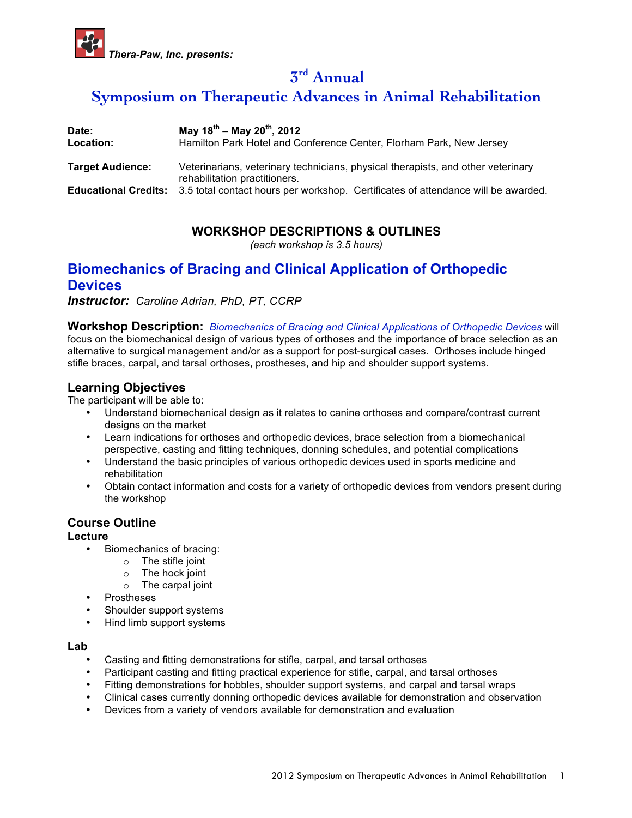

**3rd Annual** 

# **Symposium on Therapeutic Advances in Animal Rehabilitation**

| Date:<br>Location:      | May $18^{th}$ – May $20^{th}$ , 2012<br>Hamilton Park Hotel and Conference Center, Florham Park, New Jersey       |
|-------------------------|-------------------------------------------------------------------------------------------------------------------|
| <b>Target Audience:</b> | Veterinarians, veterinary technicians, physical therapists, and other veterinary<br>rehabilitation practitioners. |
|                         | <b>Educational Credits:</b> 3.5 total contact hours per workshop. Certificates of attendance will be awarded.     |

# **WORKSHOP DESCRIPTIONS & OUTLINES**

*(each workshop is 3.5 hours)*

# **Biomechanics of Bracing and Clinical Application of Orthopedic Devices**

*Instructor: Caroline Adrian, PhD, PT, CCRP*

**Workshop Description:** *Biomechanics of Bracing and Clinical Applications of Orthopedic Devices* will focus on the biomechanical design of various types of orthoses and the importance of brace selection as an alternative to surgical management and/or as a support for post-surgical cases. Orthoses include hinged stifle braces, carpal, and tarsal orthoses, prostheses, and hip and shoulder support systems.

# **Learning Objectives**

The participant will be able to:

- Understand biomechanical design as it relates to canine orthoses and compare/contrast current designs on the market
- Learn indications for orthoses and orthopedic devices, brace selection from a biomechanical perspective, casting and fitting techniques, donning schedules, and potential complications
- Understand the basic principles of various orthopedic devices used in sports medicine and rehabilitation
- Obtain contact information and costs for a variety of orthopedic devices from vendors present during the workshop

## **Course Outline**

### **Lecture**

- Biomechanics of bracing:
	- o The stifle joint
	- o The hock joint
	- o The carpal joint
- **Prostheses**
- Shoulder support systems
- Hind limb support systems

#### **Lab**

- Casting and fitting demonstrations for stifle, carpal, and tarsal orthoses
- Participant casting and fitting practical experience for stifle, carpal, and tarsal orthoses
- Fitting demonstrations for hobbles, shoulder support systems, and carpal and tarsal wraps
- Clinical cases currently donning orthopedic devices available for demonstration and observation
- Devices from a variety of vendors available for demonstration and evaluation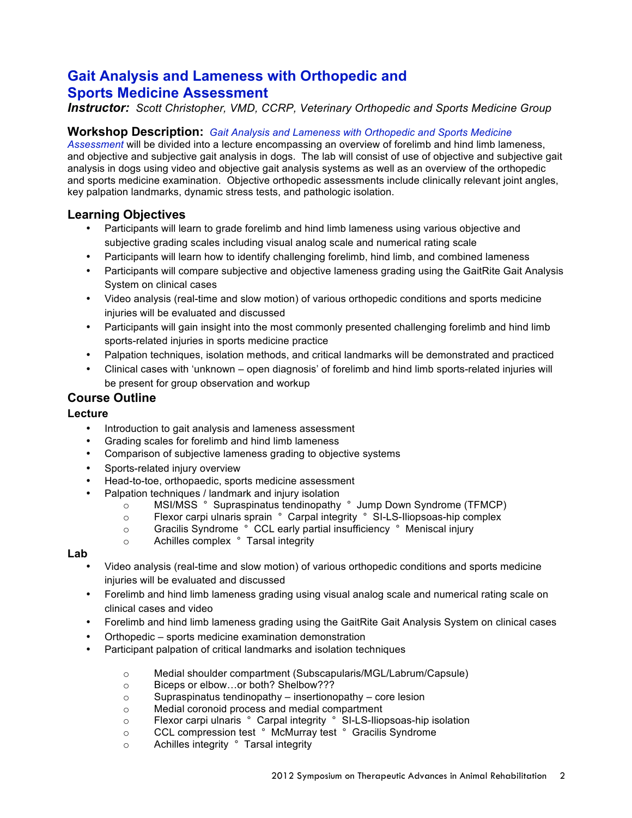# **Gait Analysis and Lameness with Orthopedic and Sports Medicine Assessment**

## *Instructor: Scott Christopher, VMD, CCRP, Veterinary Orthopedic and Sports Medicine Group*

### **Workshop Description:** *Gait Analysis and Lameness with Orthopedic and Sports Medicine*

*Assessment* will be divided into a lecture encompassing an overview of forelimb and hind limb lameness, and objective and subjective gait analysis in dogs. The lab will consist of use of objective and subjective gait analysis in dogs using video and objective gait analysis systems as well as an overview of the orthopedic and sports medicine examination. Objective orthopedic assessments include clinically relevant joint angles, key palpation landmarks, dynamic stress tests, and pathologic isolation.

## **Learning Objectives**

- Participants will learn to grade forelimb and hind limb lameness using various objective and subjective grading scales including visual analog scale and numerical rating scale
- Participants will learn how to identify challenging forelimb, hind limb, and combined lameness
- Participants will compare subjective and objective lameness grading using the GaitRite Gait Analysis System on clinical cases
- Video analysis (real-time and slow motion) of various orthopedic conditions and sports medicine injuries will be evaluated and discussed
- Participants will gain insight into the most commonly presented challenging forelimb and hind limb sports-related injuries in sports medicine practice
- Palpation techniques, isolation methods, and critical landmarks will be demonstrated and practiced
- Clinical cases with 'unknown open diagnosis' of forelimb and hind limb sports-related injuries will be present for group observation and workup

## **Course Outline**

### **Lecture**

- Introduction to gait analysis and lameness assessment
- Grading scales for forelimb and hind limb lameness
- Comparison of subjective lameness grading to objective systems
- Sports-related injury overview
- Head-to-toe, orthopaedic, sports medicine assessment
- Palpation techniques / landmark and injury isolation<br> **OBSIONS S** Supraspinatus tendinopathy
	- MSI/MSS ° Supraspinatus tendinopathy ° Jump Down Syndrome (TFMCP)
	- o Flexor carpi ulnaris sprain ° Carpal integrity ° SI-LS-Iliopsoas-hip complex
	- o Gracilis Syndrome ° CCL early partial insufficiency ° Meniscal injury
	- o Achilles complex ° Tarsal integrity

### **Lab**

- Video analysis (real-time and slow motion) of various orthopedic conditions and sports medicine injuries will be evaluated and discussed
- Forelimb and hind limb lameness grading using visual analog scale and numerical rating scale on clinical cases and video
- Forelimb and hind limb lameness grading using the GaitRite Gait Analysis System on clinical cases
- Orthopedic sports medicine examination demonstration
- Participant palpation of critical landmarks and isolation techniques
	- o Medial shoulder compartment (Subscapularis/MGL/Labrum/Capsule)
	- o Biceps or elbow…or both? Shelbow???
	- $\circ$  Supraspinatus tendinopathy insertionopathy core lesion
	- o Medial coronoid process and medial compartment
	- o Flexor carpi ulnaris ° Carpal integrity ° SI-LS-Iliopsoas-hip isolation
	- o CCL compression test ° McMurray test ° Gracilis Syndrome
	- o Achilles integrity ° Tarsal integrity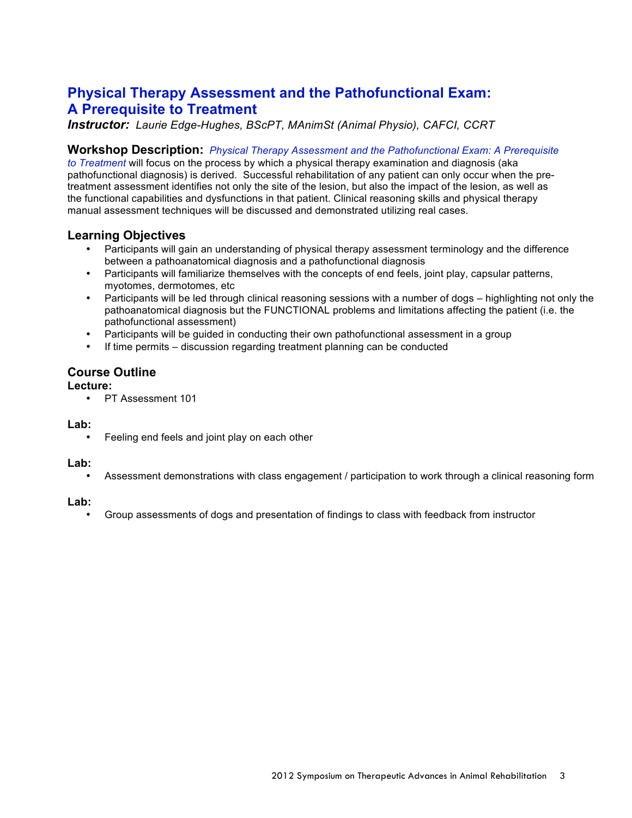# **Physical Therapy Assessment and the Pathofunctional Exam: A Prerequisite to Treatment**

*Instructor: Laurie Edge-Hughes, BScPT, MAnimSt (Animal Physio), CAFCI, CCRT*

#### **Workshop Description:** *Physical Therapy Assessment and the Pathofunctional Exam: A Prerequisite*

*to Treatment* will focus on the process by which a physical therapy examination and diagnosis (aka pathofunctional diagnosis) is derived. Successful rehabilitation of any patient can only occur when the pretreatment assessment identifies not only the site of the lesion, but also the impact of the lesion, as well as the functional capabilities and dysfunctions in that patient. Clinical reasoning skills and physical therapy manual assessment techniques will be discussed and demonstrated utilizing real cases.

#### **Learning Objectives**

- Participants will gain an understanding of physical therapy assessment terminology and the difference between a pathoanatomical diagnosis and a pathofunctional diagnosis
- Participants will familiarize themselves with the concepts of end feels, joint play, capsular patterns, myotomes, dermotomes, etc
- Participants will be led through clinical reasoning sessions with a number of dogs highlighting not only the pathoanatomical diagnosis but the FUNCTIONAL problems and limitations affecting the patient (i.e. the pathofunctional assessment)
- Participants will be guided in conducting their own pathofunctional assessment in a group
- If time permits discussion regarding treatment planning can be conducted

### **Course Outline**

#### **Lecture:**

• PT Assessment 101

#### **Lab:**

Feeling end feels and joint play on each other

#### **Lab:**

• Assessment demonstrations with class engagement / participation to work through a clinical reasoning form

#### **Lab:**

• Group assessments of dogs and presentation of findings to class with feedback from instructor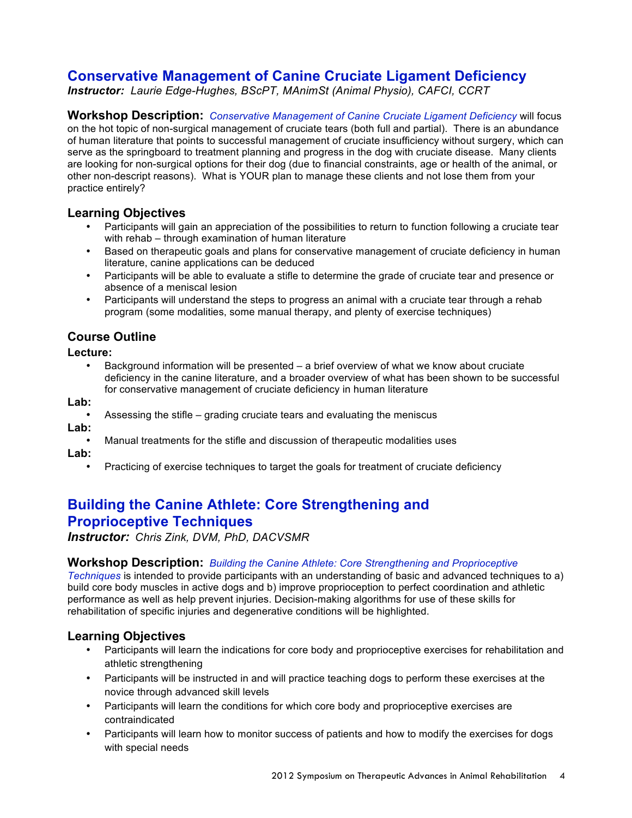# **Conservative Management of Canine Cruciate Ligament Deficiency**

*Instructor: Laurie Edge-Hughes, BScPT, MAnimSt (Animal Physio), CAFCI, CCRT*

**Workshop Description:** *Conservative Management of Canine Cruciate Ligament Deficiency* will focus on the hot topic of non-surgical management of cruciate tears (both full and partial). There is an abundance of human literature that points to successful management of cruciate insufficiency without surgery, which can serve as the springboard to treatment planning and progress in the dog with cruciate disease. Many clients are looking for non-surgical options for their dog (due to financial constraints, age or health of the animal, or other non-descript reasons). What is YOUR plan to manage these clients and not lose them from your practice entirely?

# **Learning Objectives**

- Participants will gain an appreciation of the possibilities to return to function following a cruciate tear with rehab – through examination of human literature
- Based on therapeutic goals and plans for conservative management of cruciate deficiency in human literature, canine applications can be deduced
- Participants will be able to evaluate a stifle to determine the grade of cruciate tear and presence or absence of a meniscal lesion
- Participants will understand the steps to progress an animal with a cruciate tear through a rehab program (some modalities, some manual therapy, and plenty of exercise techniques)

# **Course Outline**

**Lecture:**

• Background information will be presented – a brief overview of what we know about cruciate deficiency in the canine literature, and a broader overview of what has been shown to be successful for conservative management of cruciate deficiency in human literature

**Lab:**

- Assessing the stifle grading cruciate tears and evaluating the meniscus
- **Lab:**
	- Manual treatments for the stifle and discussion of therapeutic modalities uses

**Lab:**

• Practicing of exercise techniques to target the goals for treatment of cruciate deficiency

# **Building the Canine Athlete: Core Strengthening and Proprioceptive Techniques**

*Instructor: Chris Zink, DVM, PhD, DACVSMR*

### **Workshop Description:** *Building the Canine Athlete: Core Strengthening and Proprioceptive*

*Techniques* is intended to provide participants with an understanding of basic and advanced techniques to a) build core body muscles in active dogs and b) improve proprioception to perfect coordination and athletic performance as well as help prevent injuries. Decision-making algorithms for use of these skills for rehabilitation of specific injuries and degenerative conditions will be highlighted.

## **Learning Objectives**

- Participants will learn the indications for core body and proprioceptive exercises for rehabilitation and athletic strengthening
- Participants will be instructed in and will practice teaching dogs to perform these exercises at the novice through advanced skill levels
- Participants will learn the conditions for which core body and proprioceptive exercises are contraindicated
- Participants will learn how to monitor success of patients and how to modify the exercises for dogs with special needs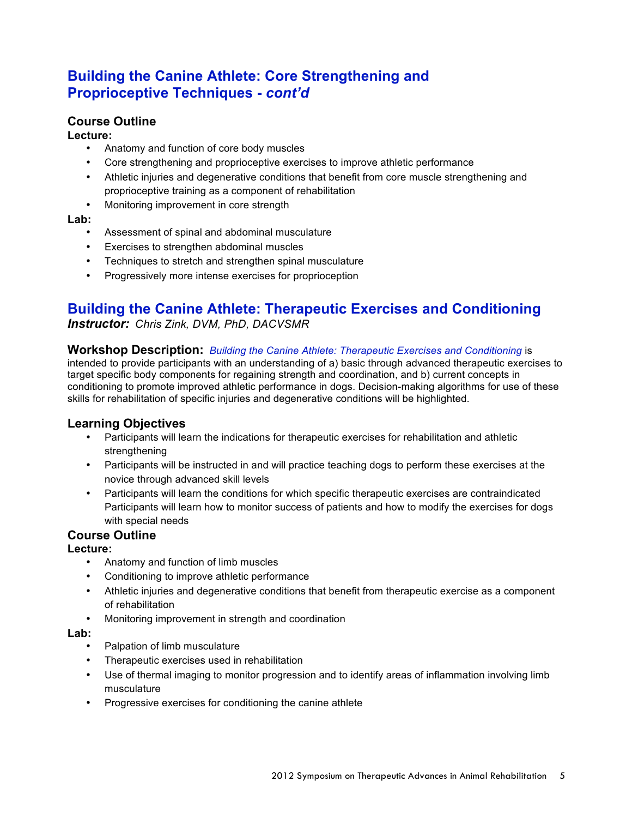# **Building the Canine Athlete: Core Strengthening and Proprioceptive Techniques -** *cont'd*

## **Course Outline**

### **Lecture:**

- Anatomy and function of core body muscles
- Core strengthening and proprioceptive exercises to improve athletic performance
- Athletic injuries and degenerative conditions that benefit from core muscle strengthening and proprioceptive training as a component of rehabilitation
- Monitoring improvement in core strength

#### **Lab:**

- Assessment of spinal and abdominal musculature
- Exercises to strengthen abdominal muscles
- Techniques to stretch and strengthen spinal musculature
- Progressively more intense exercises for proprioception

# **Building the Canine Athlete: Therapeutic Exercises and Conditioning**

*Instructor: Chris Zink, DVM, PhD, DACVSMR*

#### **Workshop Description:** *Building the Canine Athlete: Therapeutic Exercises and Conditioning* is

intended to provide participants with an understanding of a) basic through advanced therapeutic exercises to target specific body components for regaining strength and coordination, and b) current concepts in conditioning to promote improved athletic performance in dogs. Decision-making algorithms for use of these skills for rehabilitation of specific injuries and degenerative conditions will be highlighted.

## **Learning Objectives**

- Participants will learn the indications for therapeutic exercises for rehabilitation and athletic strengthening
- Participants will be instructed in and will practice teaching dogs to perform these exercises at the novice through advanced skill levels
- Participants will learn the conditions for which specific therapeutic exercises are contraindicated Participants will learn how to monitor success of patients and how to modify the exercises for dogs with special needs

# **Course Outline**

### **Lecture:**

- Anatomy and function of limb muscles
- Conditioning to improve athletic performance
- Athletic injuries and degenerative conditions that benefit from therapeutic exercise as a component of rehabilitation
- Monitoring improvement in strength and coordination

- Palpation of limb musculature
- Therapeutic exercises used in rehabilitation
- Use of thermal imaging to monitor progression and to identify areas of inflammation involving limb musculature
- Progressive exercises for conditioning the canine athlete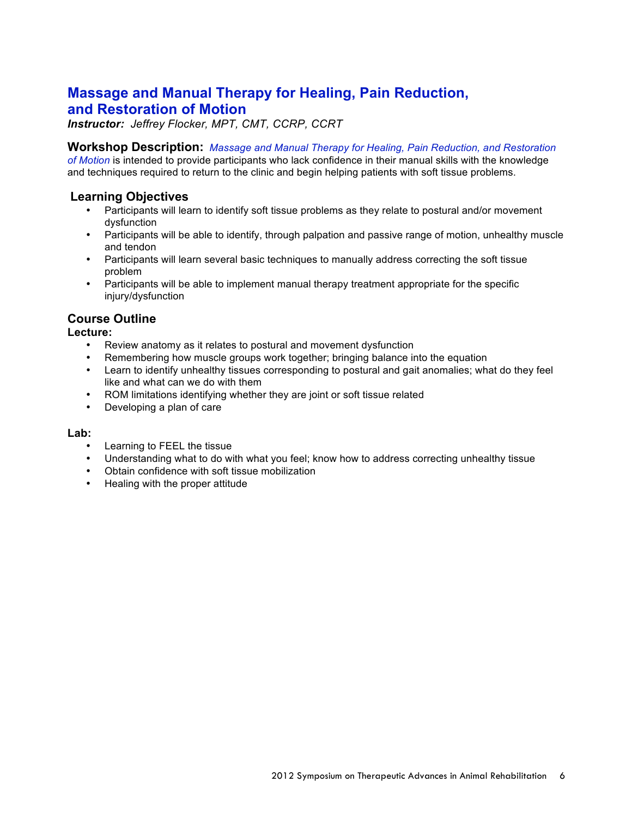# **Massage and Manual Therapy for Healing, Pain Reduction, and Restoration of Motion**

*Instructor: Jeffrey Flocker, MPT, CMT, CCRP, CCRT*

**Workshop Description:** *Massage and Manual Therapy for Healing, Pain Reduction, and Restoration* 

*of Motion* is intended to provide participants who lack confidence in their manual skills with the knowledge and techniques required to return to the clinic and begin helping patients with soft tissue problems.

# **Learning Objectives**

- Participants will learn to identify soft tissue problems as they relate to postural and/or movement dysfunction
- Participants will be able to identify, through palpation and passive range of motion, unhealthy muscle and tendon
- Participants will learn several basic techniques to manually address correcting the soft tissue problem
- Participants will be able to implement manual therapy treatment appropriate for the specific injury/dysfunction

# **Course Outline**

**Lecture:**

- Review anatomy as it relates to postural and movement dysfunction
- Remembering how muscle groups work together; bringing balance into the equation
- Learn to identify unhealthy tissues corresponding to postural and gait anomalies; what do they feel like and what can we do with them
- ROM limitations identifying whether they are joint or soft tissue related
- Developing a plan of care

- Learning to FEEL the tissue
- Understanding what to do with what you feel; know how to address correcting unhealthy tissue
- Obtain confidence with soft tissue mobilization
- Healing with the proper attitude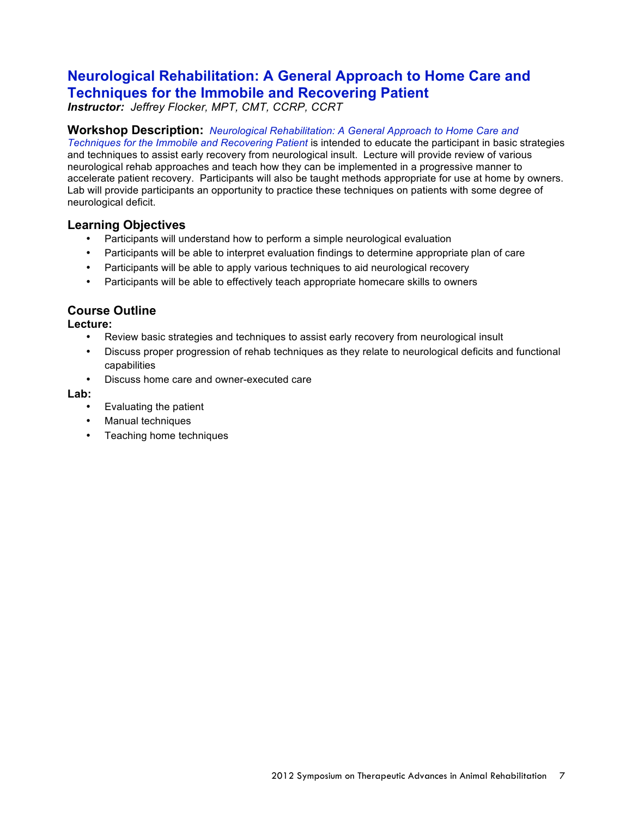# **Neurological Rehabilitation: A General Approach to Home Care and Techniques for the Immobile and Recovering Patient**

*Instructor: Jeffrey Flocker, MPT, CMT, CCRP, CCRT*

### **Workshop Description:** *Neurological Rehabilitation: A General Approach to Home Care and*

*Techniques for the Immobile and Recovering Patient* is intended to educate the participant in basic strategies and techniques to assist early recovery from neurological insult. Lecture will provide review of various neurological rehab approaches and teach how they can be implemented in a progressive manner to accelerate patient recovery. Participants will also be taught methods appropriate for use at home by owners. Lab will provide participants an opportunity to practice these techniques on patients with some degree of neurological deficit.

## **Learning Objectives**

- Participants will understand how to perform a simple neurological evaluation
- Participants will be able to interpret evaluation findings to determine appropriate plan of care
- Participants will be able to apply various techniques to aid neurological recovery
- Participants will be able to effectively teach appropriate homecare skills to owners

## **Course Outline**

#### **Lecture:**

- Review basic strategies and techniques to assist early recovery from neurological insult
- Discuss proper progression of rehab techniques as they relate to neurological deficits and functional capabilities
- Discuss home care and owner-executed care

- Evaluating the patient
- Manual techniques
- Teaching home techniques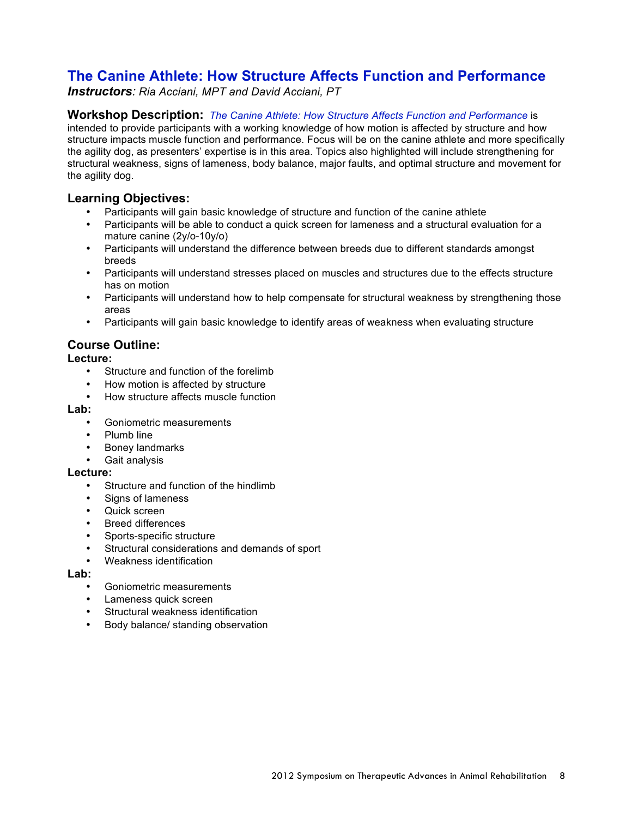# **The Canine Athlete: How Structure Affects Function and Performance**

*Instructors: Ria Acciani, MPT and David Acciani, PT*

### **Workshop Description:** *The Canine Athlete: How Structure Affects Function and Performance* is

intended to provide participants with a working knowledge of how motion is affected by structure and how structure impacts muscle function and performance. Focus will be on the canine athlete and more specifically the agility dog, as presenters' expertise is in this area. Topics also highlighted will include strengthening for structural weakness, signs of lameness, body balance, major faults, and optimal structure and movement for the agility dog.

## **Learning Objectives:**

- Participants will gain basic knowledge of structure and function of the canine athlete
- Participants will be able to conduct a quick screen for lameness and a structural evaluation for a mature canine (2y/o-10y/o)
- Participants will understand the difference between breeds due to different standards amongst breeds
- Participants will understand stresses placed on muscles and structures due to the effects structure has on motion
- Participants will understand how to help compensate for structural weakness by strengthening those areas
- Participants will gain basic knowledge to identify areas of weakness when evaluating structure

## **Course Outline:**

#### **Lecture:**

- Structure and function of the forelimb
- How motion is affected by structure
- How structure affects muscle function

#### **Lab:**

- Goniometric measurements
- Plumb line
- Boney landmarks
- Gait analysis

#### **Lecture:**

- Structure and function of the hindlimb
- Signs of lameness
- Quick screen
- Breed differences
- Sports-specific structure
- Structural considerations and demands of sport
- Weakness identification

- Goniometric measurements
- Lameness quick screen
- Structural weakness identification
- Body balance/ standing observation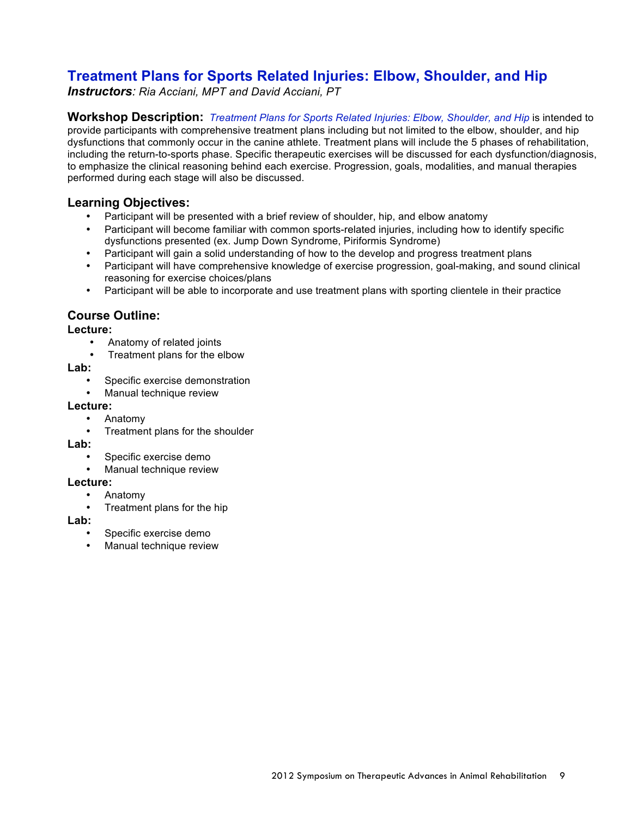# **Treatment Plans for Sports Related Injuries: Elbow, Shoulder, and Hip**

*Instructors: Ria Acciani, MPT and David Acciani, PT*

**Workshop Description:** *Treatment Plans for Sports Related Injuries: Elbow, Shoulder, and Hip* is intended to provide participants with comprehensive treatment plans including but not limited to the elbow, shoulder, and hip dysfunctions that commonly occur in the canine athlete. Treatment plans will include the 5 phases of rehabilitation, including the return-to-sports phase. Specific therapeutic exercises will be discussed for each dysfunction/diagnosis, to emphasize the clinical reasoning behind each exercise. Progression, goals, modalities, and manual therapies performed during each stage will also be discussed.

## **Learning Objectives:**

- Participant will be presented with a brief review of shoulder, hip, and elbow anatomy
- Participant will become familiar with common sports-related injuries, including how to identify specific dysfunctions presented (ex. Jump Down Syndrome, Piriformis Syndrome)
- Participant will gain a solid understanding of how to the develop and progress treatment plans
- Participant will have comprehensive knowledge of exercise progression, goal-making, and sound clinical reasoning for exercise choices/plans
- Participant will be able to incorporate and use treatment plans with sporting clientele in their practice

## **Course Outline:**

### **Lecture:**

- Anatomy of related joints
- Treatment plans for the elbow

#### **Lab:**

- Specific exercise demonstration
- Manual technique review

#### **Lecture:**

- Anatomy
- Treatment plans for the shoulder

#### **Lab:**

- Specific exercise demo
- Manual technique review

### **Lecture:**

- Anatomy
- Treatment plans for the hip

- Specific exercise demo
- Manual technique review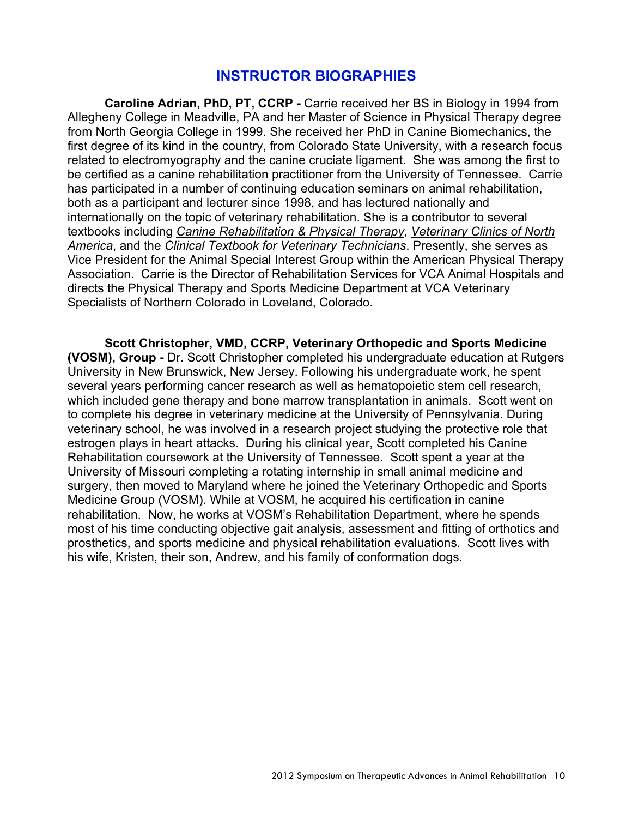# **INSTRUCTOR BIOGRAPHIES**

**Caroline Adrian, PhD, PT, CCRP -** Carrie received her BS in Biology in 1994 from Allegheny College in Meadville, PA and her Master of Science in Physical Therapy degree from North Georgia College in 1999. She received her PhD in Canine Biomechanics, the first degree of its kind in the country, from Colorado State University, with a research focus related to electromyography and the canine cruciate ligament. She was among the first to be certified as a canine rehabilitation practitioner from the University of Tennessee. Carrie has participated in a number of continuing education seminars on animal rehabilitation, both as a participant and lecturer since 1998, and has lectured nationally and internationally on the topic of veterinary rehabilitation. She is a contributor to several textbooks including *Canine Rehabilitation & Physical Therapy*, *Veterinary Clinics of North America*, and the *Clinical Textbook for Veterinary Technicians*. Presently, she serves as Vice President for the Animal Special Interest Group within the American Physical Therapy Association. Carrie is the Director of Rehabilitation Services for VCA Animal Hospitals and directs the Physical Therapy and Sports Medicine Department at VCA Veterinary Specialists of Northern Colorado in Loveland, Colorado.

**Scott Christopher, VMD, CCRP, Veterinary Orthopedic and Sports Medicine (VOSM), Group -** Dr. Scott Christopher completed his undergraduate education at Rutgers University in New Brunswick, New Jersey. Following his undergraduate work, he spent several years performing cancer research as well as hematopoietic stem cell research, which included gene therapy and bone marrow transplantation in animals. Scott went on to complete his degree in veterinary medicine at the University of Pennsylvania. During veterinary school, he was involved in a research project studying the protective role that estrogen plays in heart attacks. During his clinical year, Scott completed his Canine Rehabilitation coursework at the University of Tennessee. Scott spent a year at the University of Missouri completing a rotating internship in small animal medicine and surgery, then moved to Maryland where he joined the Veterinary Orthopedic and Sports Medicine Group (VOSM). While at VOSM, he acquired his certification in canine rehabilitation. Now, he works at VOSM's Rehabilitation Department, where he spends most of his time conducting objective gait analysis, assessment and fitting of orthotics and prosthetics, and sports medicine and physical rehabilitation evaluations. Scott lives with his wife, Kristen, their son, Andrew, and his family of conformation dogs.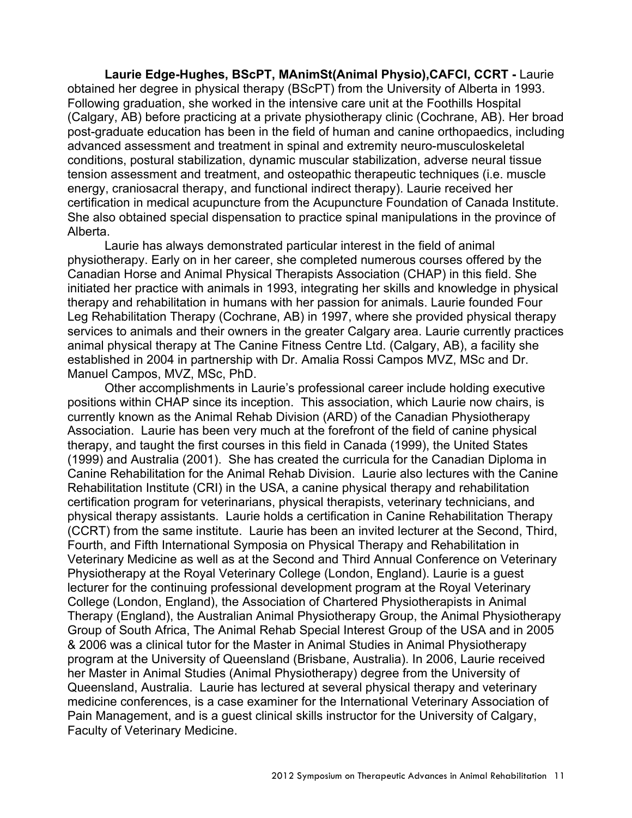**Laurie Edge-Hughes, BScPT, MAnimSt(Animal Physio),CAFCI, CCRT -** Laurie obtained her degree in physical therapy (BScPT) from the University of Alberta in 1993. Following graduation, she worked in the intensive care unit at the Foothills Hospital (Calgary, AB) before practicing at a private physiotherapy clinic (Cochrane, AB). Her broad post-graduate education has been in the field of human and canine orthopaedics, including advanced assessment and treatment in spinal and extremity neuro-musculoskeletal conditions, postural stabilization, dynamic muscular stabilization, adverse neural tissue tension assessment and treatment, and osteopathic therapeutic techniques (i.e. muscle energy, craniosacral therapy, and functional indirect therapy). Laurie received her certification in medical acupuncture from the Acupuncture Foundation of Canada Institute. She also obtained special dispensation to practice spinal manipulations in the province of Alberta.

Laurie has always demonstrated particular interest in the field of animal physiotherapy. Early on in her career, she completed numerous courses offered by the Canadian Horse and Animal Physical Therapists Association (CHAP) in this field. She initiated her practice with animals in 1993, integrating her skills and knowledge in physical therapy and rehabilitation in humans with her passion for animals. Laurie founded Four Leg Rehabilitation Therapy (Cochrane, AB) in 1997, where she provided physical therapy services to animals and their owners in the greater Calgary area. Laurie currently practices animal physical therapy at The Canine Fitness Centre Ltd. (Calgary, AB), a facility she established in 2004 in partnership with Dr. Amalia Rossi Campos MVZ, MSc and Dr. Manuel Campos, MVZ, MSc, PhD.

Other accomplishments in Laurie's professional career include holding executive positions within CHAP since its inception. This association, which Laurie now chairs, is currently known as the Animal Rehab Division (ARD) of the Canadian Physiotherapy Association. Laurie has been very much at the forefront of the field of canine physical therapy, and taught the first courses in this field in Canada (1999), the United States (1999) and Australia (2001). She has created the curricula for the Canadian Diploma in Canine Rehabilitation for the Animal Rehab Division. Laurie also lectures with the Canine Rehabilitation Institute (CRI) in the USA, a canine physical therapy and rehabilitation certification program for veterinarians, physical therapists, veterinary technicians, and physical therapy assistants. Laurie holds a certification in Canine Rehabilitation Therapy (CCRT) from the same institute. Laurie has been an invited lecturer at the Second, Third, Fourth, and Fifth International Symposia on Physical Therapy and Rehabilitation in Veterinary Medicine as well as at the Second and Third Annual Conference on Veterinary Physiotherapy at the Royal Veterinary College (London, England). Laurie is a guest lecturer for the continuing professional development program at the Royal Veterinary College (London, England), the Association of Chartered Physiotherapists in Animal Therapy (England), the Australian Animal Physiotherapy Group, the Animal Physiotherapy Group of South Africa, The Animal Rehab Special Interest Group of the USA and in 2005 & 2006 was a clinical tutor for the Master in Animal Studies in Animal Physiotherapy program at the University of Queensland (Brisbane, Australia). In 2006, Laurie received her Master in Animal Studies (Animal Physiotherapy) degree from the University of Queensland, Australia. Laurie has lectured at several physical therapy and veterinary medicine conferences, is a case examiner for the International Veterinary Association of Pain Management, and is a guest clinical skills instructor for the University of Calgary, Faculty of Veterinary Medicine.